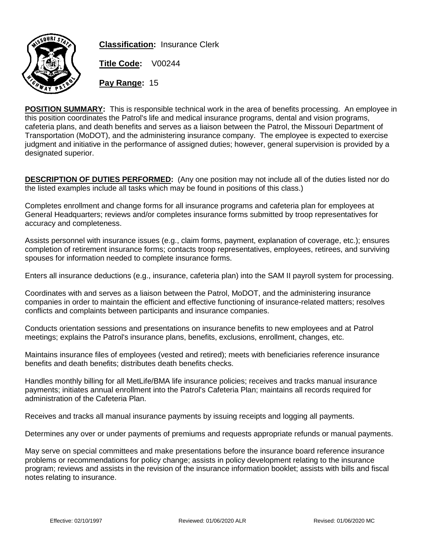

**Classification:** Insurance Clerk

**Title Code:** V00244

**Pay Range:** 15

**POSITION SUMMARY:** This is responsible technical work in the area of benefits processing. An employee in this position coordinates the Patrol's life and medical insurance programs, dental and vision programs, cafeteria plans, and death benefits and serves as a liaison between the Patrol, the Missouri Department of Transportation (MoDOT), and the administering insurance company. The employee is expected to exercise judgment and initiative in the performance of assigned duties; however, general supervision is provided by a designated superior.

**DESCRIPTION OF DUTIES PERFORMED:** (Any one position may not include all of the duties listed nor do the listed examples include all tasks which may be found in positions of this class.)

Completes enrollment and change forms for all insurance programs and cafeteria plan for employees at General Headquarters; reviews and/or completes insurance forms submitted by troop representatives for accuracy and completeness.

Assists personnel with insurance issues (e.g., claim forms, payment, explanation of coverage, etc.); ensures completion of retirement insurance forms; contacts troop representatives, employees, retirees, and surviving spouses for information needed to complete insurance forms.

Enters all insurance deductions (e.g., insurance, cafeteria plan) into the SAM II payroll system for processing.

Coordinates with and serves as a liaison between the Patrol, MoDOT, and the administering insurance companies in order to maintain the efficient and effective functioning of insurance-related matters; resolves conflicts and complaints between participants and insurance companies.

Conducts orientation sessions and presentations on insurance benefits to new employees and at Patrol meetings; explains the Patrol's insurance plans, benefits, exclusions, enrollment, changes, etc.

Maintains insurance files of employees (vested and retired); meets with beneficiaries reference insurance benefits and death benefits; distributes death benefits checks.

Handles monthly billing for all MetLife/BMA life insurance policies; receives and tracks manual insurance payments; initiates annual enrollment into the Patrol's Cafeteria Plan; maintains all records required for administration of the Cafeteria Plan.

Receives and tracks all manual insurance payments by issuing receipts and logging all payments.

Determines any over or under payments of premiums and requests appropriate refunds or manual payments.

May serve on special committees and make presentations before the insurance board reference insurance problems or recommendations for policy change; assists in policy development relating to the insurance program; reviews and assists in the revision of the insurance information booklet; assists with bills and fiscal notes relating to insurance.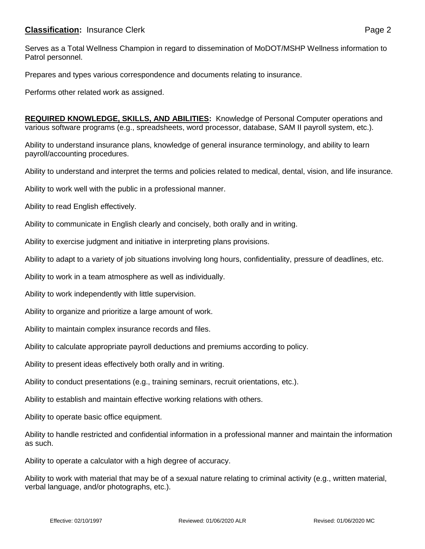Serves as a Total Wellness Champion in regard to dissemination of MoDOT/MSHP Wellness information to Patrol personnel.

Prepares and types various correspondence and documents relating to insurance.

Performs other related work as assigned.

**REQUIRED KNOWLEDGE, SKILLS, AND ABILITIES:** Knowledge of Personal Computer operations and various software programs (e.g., spreadsheets, word processor, database, SAM II payroll system, etc.).

Ability to understand insurance plans, knowledge of general insurance terminology, and ability to learn payroll/accounting procedures.

Ability to understand and interpret the terms and policies related to medical, dental, vision, and life insurance.

Ability to work well with the public in a professional manner.

Ability to read English effectively.

Ability to communicate in English clearly and concisely, both orally and in writing.

Ability to exercise judgment and initiative in interpreting plans provisions.

Ability to adapt to a variety of job situations involving long hours, confidentiality, pressure of deadlines, etc.

Ability to work in a team atmosphere as well as individually.

Ability to work independently with little supervision.

Ability to organize and prioritize a large amount of work.

Ability to maintain complex insurance records and files.

Ability to calculate appropriate payroll deductions and premiums according to policy.

Ability to present ideas effectively both orally and in writing.

Ability to conduct presentations (e.g., training seminars, recruit orientations, etc.).

Ability to establish and maintain effective working relations with others.

Ability to operate basic office equipment.

Ability to handle restricted and confidential information in a professional manner and maintain the information as such.

Ability to operate a calculator with a high degree of accuracy.

Ability to work with material that may be of a sexual nature relating to criminal activity (e.g., written material, verbal language, and/or photographs, etc.).